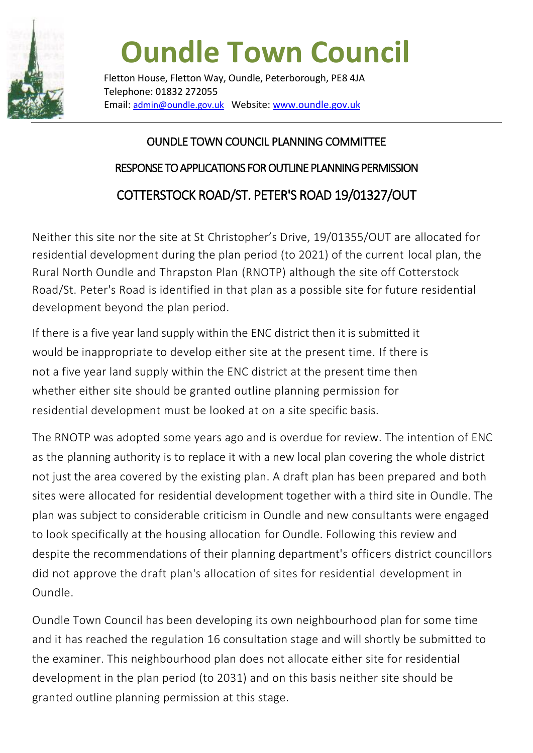

## **Oundle Town Council**

Fletton House, Fletton Way, Oundle, Peterborough, PE8 4JA Telephone: 01832 272055 Email: admin@oundle.gov.uk Website[: www.oundle.gov.uk](http://www.oundle.gov.uk/)

## OUNDLE TOWN COUNCIL PLANNING COMMITTEE RESPONSE TO APPLICATIONS FOR OUTLINE PLANNING PERMISSION COTTERSTOCK ROAD/ST. PETER'S ROAD 19/01327/OUT

Neither this site nor the site at St Christopher's Drive, 19/01355/OUT are allocated for residential development during the plan period (to 2021) of the current local plan, the Rural North Oundle and Thrapston Plan (RNOTP) although the site off Cotterstock Road/St. Peter's Road is identified in that plan as a possible site for future residential development beyond the plan period.

If there is a five year land supply within the ENC district then it is submitted it would be inappropriate to develop either site at the present time. If there is not a five year land supply within the ENC district at the present time then whether either site should be granted outline planning permission for residential development must be looked at on a site specific basis.

The RNOTP was adopted some years ago and is overdue for review. The intention of ENC as the planning authority is to replace it with a new local plan covering the whole district not just the area covered by the existing plan. A draft plan has been prepared and both sites were allocated for residential development together with a third site in Oundle. The plan was subject to considerable criticism in Oundle and new consultants were engaged to look specifically at the housing allocation for Oundle. Following this review and despite the recommendations of their planning department's officers district councillors did not approve the draft plan's allocation of sites for residential development in Oundle.

Oundle Town Council has been developing its own neighbourhood plan for some time and it has reached the regulation 16 consultation stage and will shortly be submitted to the examiner. This neighbourhood plan does not allocate either site for residential development in the plan period (to 2031) and on this basis neither site should be granted outline planning permission at this stage.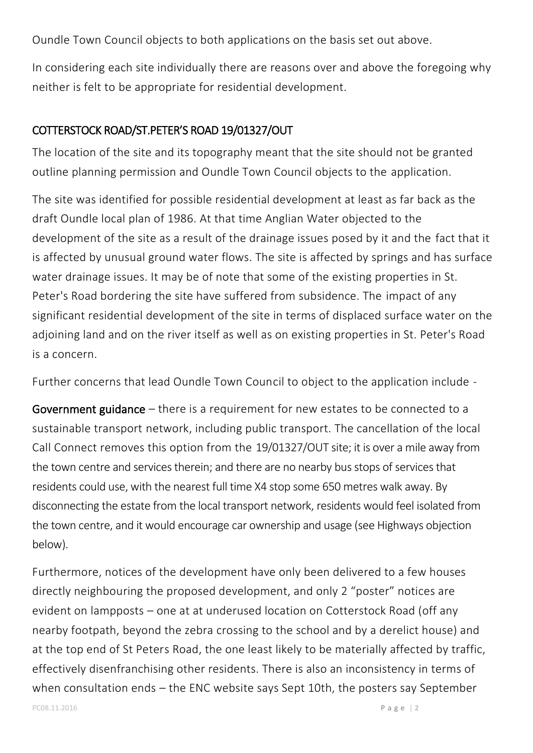Oundle Town Council objects to both applications on the basis set out above.

In considering each site individually there are reasons over and above the foregoing why neither is felt to be appropriate for residential development.

## COTTERSTOCK ROAD/ST.PETER'S ROAD 19/01327/OUT

The location of the site and its topography meant that the site should not be granted outline planning permission and Oundle Town Council objects to the application.

The site was identified for possible residential development at least as far back as the draft Oundle local plan of 1986. At that time Anglian Water objected to the development of the site as a result of the drainage issues posed by it and the fact that it is affected by unusual ground water flows. The site is affected by springs and has surface water drainage issues. It may be of note that some of the existing properties in St. Peter's Road bordering the site have suffered from subsidence. The impact of any significant residential development of the site in terms of displaced surface water on the adjoining land and on the river itself as well as on existing properties in St. Peter's Road is a concern.

Further concerns that lead Oundle Town Council to object to the application include -

Government guidance – there is a requirement for new estates to be connected to a sustainable transport network, including public transport. The cancellation of the local Call Connect removes this option from the 19/01327/OUT site; it is over a mile away from the town centre and services therein; and there are no nearby bus stops of services that residents could use, with the nearest full time X4 stop some 650 metres walk away. By disconnecting the estate from the local transport network, residents would feel isolated from the town centre, and it would encourage car ownership and usage (see Highways objection below).

Furthermore, notices of the development have only been delivered to a few houses directly neighbouring the proposed development, and only 2 "poster" notices are evident on lampposts – one at at underused location on Cotterstock Road (off any nearby footpath, beyond the zebra crossing to the school and by a derelict house) and at the top end of St Peters Road, the one least likely to be materially affected by traffic, effectively disenfranchising other residents. There is also an inconsistency in terms of when consultation ends – the ENC website says Sept 10th, the posters say September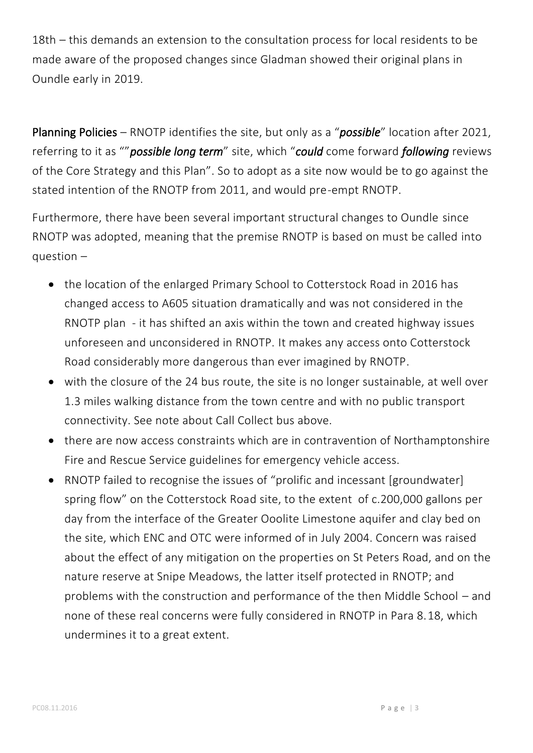18th – this demands an extension to the consultation process for local residents to be made aware of the proposed changes since Gladman showed their original plans in Oundle early in 2019.

Planning Policies – RNOTP identifies the site, but only as a "*possible*" location after 2021, referring to it as ""*possible long term*" site, which "*could* come forward *following* reviews of the Core Strategy and this Plan". So to adopt as a site now would be to go against the stated intention of the RNOTP from 2011, and would pre-empt RNOTP.

Furthermore, there have been several important structural changes to Oundle since RNOTP was adopted, meaning that the premise RNOTP is based on must be called into question –

- the location of the enlarged Primary School to Cotterstock Road in 2016 has changed access to A605 situation dramatically and was not considered in the RNOTP plan - it has shifted an axis within the town and created highway issues unforeseen and unconsidered in RNOTP. It makes any access onto Cotterstock Road considerably more dangerous than ever imagined by RNOTP.
- with the closure of the 24 bus route, the site is no longer sustainable, at well over 1.3 miles walking distance from the town centre and with no public transport connectivity. See note about Call Collect bus above.
- there are now access constraints which are in contravention of Northamptonshire Fire and Rescue Service guidelines for emergency vehicle access.
- RNOTP failed to recognise the issues of "prolific and incessant [groundwater] spring flow" on the Cotterstock Road site, to the extent of c.200,000 gallons per day from the interface of the Greater Ooolite Limestone aquifer and clay bed on the site, which ENC and OTC were informed of in July 2004. Concern was raised about the effect of any mitigation on the properties on St Peters Road, and on the nature reserve at Snipe Meadows, the latter itself protected in RNOTP; and problems with the construction and performance of the then Middle School – and none of these real concerns were fully considered in RNOTP in Para 8.18, which undermines it to a great extent.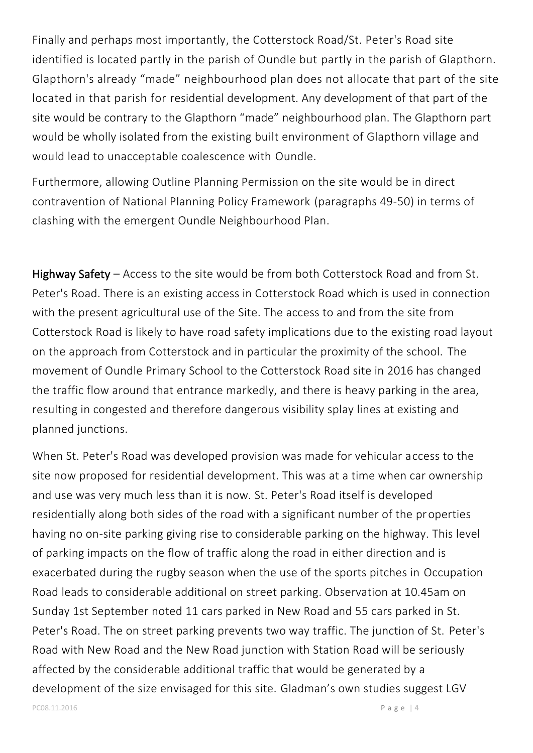Finally and perhaps most importantly, the Cotterstock Road/St. Peter's Road site identified is located partly in the parish of Oundle but partly in the parish of Glapthorn. Glapthorn's already "made" neighbourhood plan does not allocate that part of the site located in that parish for residential development. Any development of that part of the site would be contrary to the Glapthorn "made" neighbourhood plan. The Glapthorn part would be wholly isolated from the existing built environment of Glapthorn village and would lead to unacceptable coalescence with Oundle.

Furthermore, allowing Outline Planning Permission on the site would be in direct contravention of National Planning Policy Framework (paragraphs 49-50) in terms of clashing with the emergent Oundle Neighbourhood Plan.

Highway Safety – Access to the site would be from both Cotterstock Road and from St. Peter's Road. There is an existing access in Cotterstock Road which is used in connection with the present agricultural use of the Site. The access to and from the site from Cotterstock Road is likely to have road safety implications due to the existing road layout on the approach from Cotterstock and in particular the proximity of the school. The movement of Oundle Primary School to the Cotterstock Road site in 2016 has changed the traffic flow around that entrance markedly, and there is heavy parking in the area, resulting in congested and therefore dangerous visibility splay lines at existing and planned junctions.

When St. Peter's Road was developed provision was made for vehicular access to the site now proposed for residential development. This was at a time when car ownership and use was very much less than it is now. St. Peter's Road itself is developed residentially along both sides of the road with a significant number of the properties having no on-site parking giving rise to considerable parking on the highway. This level of parking impacts on the flow of traffic along the road in either direction and is exacerbated during the rugby season when the use of the sports pitches in Occupation Road leads to considerable additional on street parking. Observation at 10.45am on Sunday 1st September noted 11 cars parked in New Road and 55 cars parked in St. Peter's Road. The on street parking prevents two way traffic. The junction of St. Peter's Road with New Road and the New Road junction with Station Road will be seriously affected by the considerable additional traffic that would be generated by a development of the size envisaged for this site. Gladman's own studies suggest LGV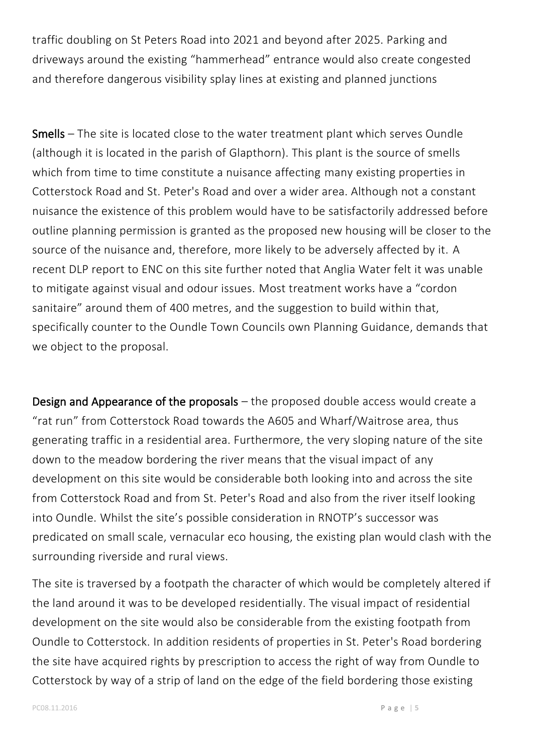traffic doubling on St Peters Road into 2021 and beyond after 2025. Parking and driveways around the existing "hammerhead" entrance would also create congested and therefore dangerous visibility splay lines at existing and planned junctions

Smells – The site is located close to the water treatment plant which serves Oundle (although it is located in the parish of Glapthorn). This plant is the source of smells which from time to time constitute a nuisance affecting many existing properties in Cotterstock Road and St. Peter's Road and over a wider area. Although not a constant nuisance the existence of this problem would have to be satisfactorily addressed before outline planning permission is granted as the proposed new housing will be closer to the source of the nuisance and, therefore, more likely to be adversely affected by it. A recent DLP report to ENC on this site further noted that Anglia Water felt it was unable to mitigate against visual and odour issues. Most treatment works have a "cordon sanitaire" around them of 400 metres, and the suggestion to build within that, specifically counter to the Oundle Town Councils own Planning Guidance, demands that we object to the proposal.

Design and Appearance of the proposals – the proposed double access would create a "rat run" from Cotterstock Road towards the A605 and Wharf/Waitrose area, thus generating traffic in a residential area. Furthermore, the very sloping nature of the site down to the meadow bordering the river means that the visual impact of any development on this site would be considerable both looking into and across the site from Cotterstock Road and from St. Peter's Road and also from the river itself looking into Oundle. Whilst the site's possible consideration in RNOTP's successor was predicated on small scale, vernacular eco housing, the existing plan would clash with the surrounding riverside and rural views.

The site is traversed by a footpath the character of which would be completely altered if the land around it was to be developed residentially. The visual impact of residential development on the site would also be considerable from the existing footpath from Oundle to Cotterstock. In addition residents of properties in St. Peter's Road bordering the site have acquired rights by prescription to access the right of way from Oundle to Cotterstock by way of a strip of land on the edge of the field bordering those existing